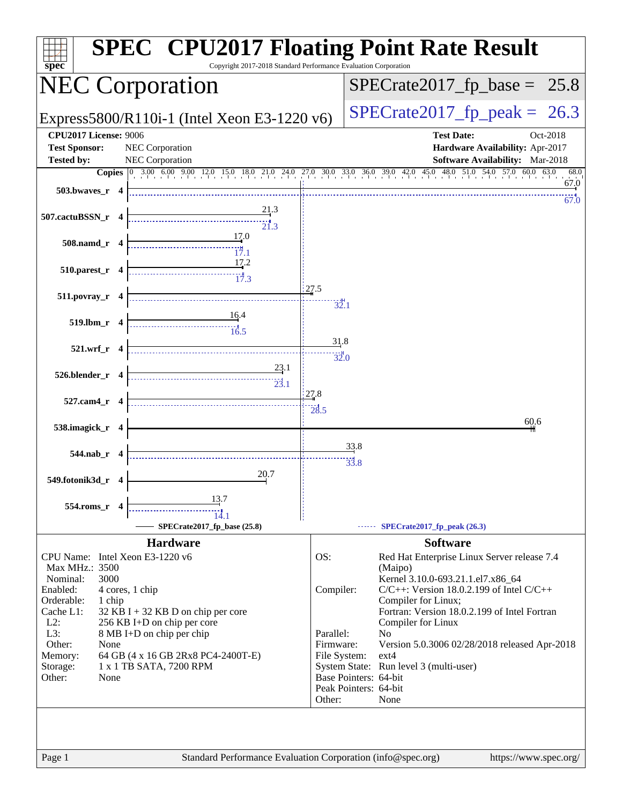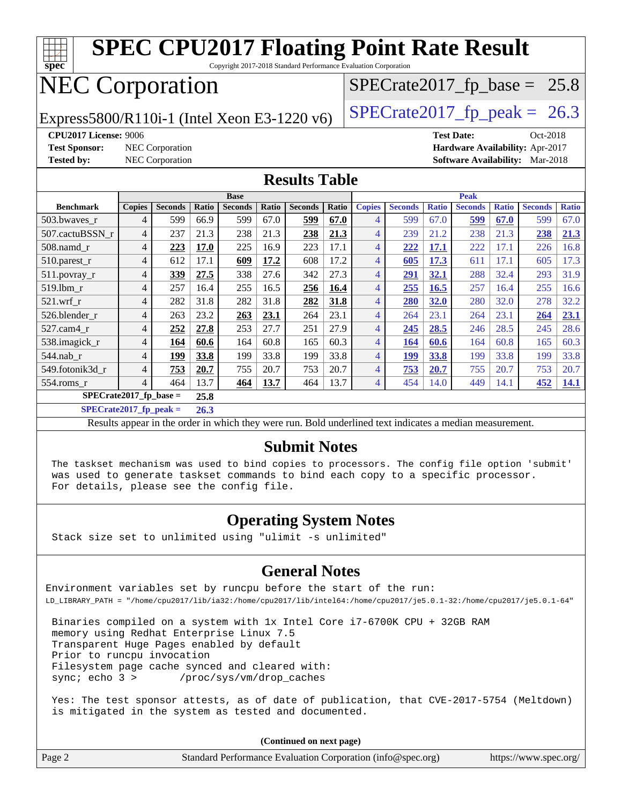| <b>SPEC CPU2017 Floating Point Rate Result</b><br>spec<br>Copyright 2017-2018 Standard Performance Evaluation Corporation |                                                               |                        |       |                |       |                |       |                |                |              |                |                                |                                        |              |
|---------------------------------------------------------------------------------------------------------------------------|---------------------------------------------------------------|------------------------|-------|----------------|-------|----------------|-------|----------------|----------------|--------------|----------------|--------------------------------|----------------------------------------|--------------|
| <b>NEC Corporation</b>                                                                                                    |                                                               |                        |       |                |       |                |       |                |                |              |                | $SPECrate2017_fp\_base = 25.8$ |                                        |              |
| $SPECrate2017_fp\_peak = 26.3$<br>Express5800/R110i-1 (Intel Xeon E3-1220 v6)                                             |                                                               |                        |       |                |       |                |       |                |                |              |                |                                |                                        |              |
|                                                                                                                           | <b>CPU2017 License: 9006</b><br><b>Test Date:</b><br>Oct-2018 |                        |       |                |       |                |       |                |                |              |                |                                |                                        |              |
| <b>Test Sponsor:</b>                                                                                                      |                                                               | NEC Corporation        |       |                |       |                |       |                |                |              |                |                                | Hardware Availability: Apr-2017        |              |
| <b>Tested by:</b>                                                                                                         |                                                               | <b>NEC Corporation</b> |       |                |       |                |       |                |                |              |                |                                | <b>Software Availability:</b> Mar-2018 |              |
| <b>Results Table</b>                                                                                                      |                                                               |                        |       |                |       |                |       |                |                |              |                |                                |                                        |              |
|                                                                                                                           |                                                               |                        |       | <b>Base</b>    |       |                |       | <b>Peak</b>    |                |              |                |                                |                                        |              |
| <b>Benchmark</b>                                                                                                          | <b>Copies</b>                                                 | <b>Seconds</b>         | Ratio | <b>Seconds</b> | Ratio | <b>Seconds</b> | Ratio | <b>Copies</b>  | <b>Seconds</b> | <b>Ratio</b> | <b>Seconds</b> | <b>Ratio</b>                   | <b>Seconds</b>                         | <b>Ratio</b> |
| 503.bwaves r                                                                                                              | $\overline{4}$                                                | 599                    | 66.9  | 599            | 67.0  | 599            | 67.0  | $\overline{4}$ | 599            | 67.0         | 599            | 67.0                           | 599                                    | 67.0         |
| 507.cactuBSSN r                                                                                                           | 4                                                             | 237                    | 21.3  | 238            | 21.3  | 238            | 21.3  | $\overline{4}$ | 239            | 21.2         | 238            | 21.3                           | 238                                    | 21.3         |
| 508.namd_r                                                                                                                | 4                                                             | 223                    | 17.0  | 225            | 16.9  | 223            | 17.1  | $\overline{4}$ | 222            | 17.1         | 222            | 17.1                           | 226                                    | 16.8         |
| 510.parest_r                                                                                                              | 4                                                             | 612                    | 17.1  | 609            | 17.2  | 608            | 17.2  | $\overline{4}$ | 605            | 17.3         | 611            | 17.1                           | 605                                    | 17.3         |
| 511.povray_r                                                                                                              | 4                                                             | 339                    | 27.5  | 338            | 27.6  | 342            | 27.3  | $\overline{4}$ | 291            | 32.1         | 288            | 32.4                           | 293                                    | 31.9         |
| 519.1bm r                                                                                                                 | 4                                                             | 257                    | 16.4  | 255            | 16.5  | 256            | 16.4  | $\overline{4}$ | 255            | 16.5         | 257            | 16.4                           | 255                                    | 16.6         |
| 521.wrf r                                                                                                                 | 4                                                             | 282                    | 31.8  | 282            | 31.8  | 282            | 31.8  | $\overline{4}$ | 280            | 32.0         | 280            | 32.0                           | 278                                    | 32.2         |
| 526.blender r                                                                                                             | 4                                                             | 263                    | 23.2  | 263            | 23.1  | 264            | 23.1  | $\overline{4}$ | 264            | 23.1         | 264            | 23.1                           | 264                                    | 23.1         |
| 527.cam4_r                                                                                                                | 4                                                             | 252                    | 27.8  | 253            | 27.7  | 251            | 27.9  | $\overline{4}$ | 245            | 28.5         | 246            | 28.5                           | 245                                    | 28.6         |
| 538.imagick_r                                                                                                             | 4                                                             | 164                    | 60.6  | 164            | 60.8  | 165            | 60.3  | $\overline{4}$ | 164            | 60.6         | 164            | 60.8                           | 165                                    | 60.3         |
| 544.nab r                                                                                                                 | 4                                                             | 199                    | 33.8  | 199            | 33.8  | 199            | 33.8  | $\overline{4}$ | 199            | 33.8         | 199            | 33.8                           | 199                                    | 33.8         |
| 549.fotonik3d_r                                                                                                           | 4                                                             | 753                    | 20.7  | 755            | 20.7  | 753            | 20.7  | $\overline{4}$ | 753            | 20.7         | 755            | 20.7                           | 753                                    | 20.7         |
| 554.roms_r                                                                                                                | $\overline{\mathcal{L}}$                                      | 464                    | 13.7  | 464            | 13.7  | 464            | 13.7  | $\overline{4}$ | 454            | 14.0         | 449            | 14.1                           | 452                                    | 14.1         |
| $SPECrate2017_fp\_base =$<br>25.8                                                                                         |                                                               |                        |       |                |       |                |       |                |                |              |                |                                |                                        |              |
| $SPECrate2017$ _fp_peak =<br>26.3                                                                                         |                                                               |                        |       |                |       |                |       |                |                |              |                |                                |                                        |              |
| Results appear in the order in which they were run. Bold underlined text indicates a median measurement.                  |                                                               |                        |       |                |       |                |       |                |                |              |                |                                |                                        |              |

#### **[Submit Notes](http://www.spec.org/auto/cpu2017/Docs/result-fields.html#SubmitNotes)**

 The taskset mechanism was used to bind copies to processors. The config file option 'submit' was used to generate taskset commands to bind each copy to a specific processor. For details, please see the config file.

#### **[Operating System Notes](http://www.spec.org/auto/cpu2017/Docs/result-fields.html#OperatingSystemNotes)**

Stack size set to unlimited using "ulimit -s unlimited"

#### **[General Notes](http://www.spec.org/auto/cpu2017/Docs/result-fields.html#GeneralNotes)**

Environment variables set by runcpu before the start of the run: LD\_LIBRARY\_PATH = "/home/cpu2017/lib/ia32:/home/cpu2017/lib/intel64:/home/cpu2017/je5.0.1-32:/home/cpu2017/je5.0.1-64"

 Binaries compiled on a system with 1x Intel Core i7-6700K CPU + 32GB RAM memory using Redhat Enterprise Linux 7.5 Transparent Huge Pages enabled by default Prior to runcpu invocation Filesystem page cache synced and cleared with: sync; echo 3 > /proc/sys/vm/drop\_caches

 Yes: The test sponsor attests, as of date of publication, that CVE-2017-5754 (Meltdown) is mitigated in the system as tested and documented.

**(Continued on next page)**

| Page 2 | Standard Performance Evaluation Corporation (info@spec.org) | https://www.spec.org/ |
|--------|-------------------------------------------------------------|-----------------------|
|--------|-------------------------------------------------------------|-----------------------|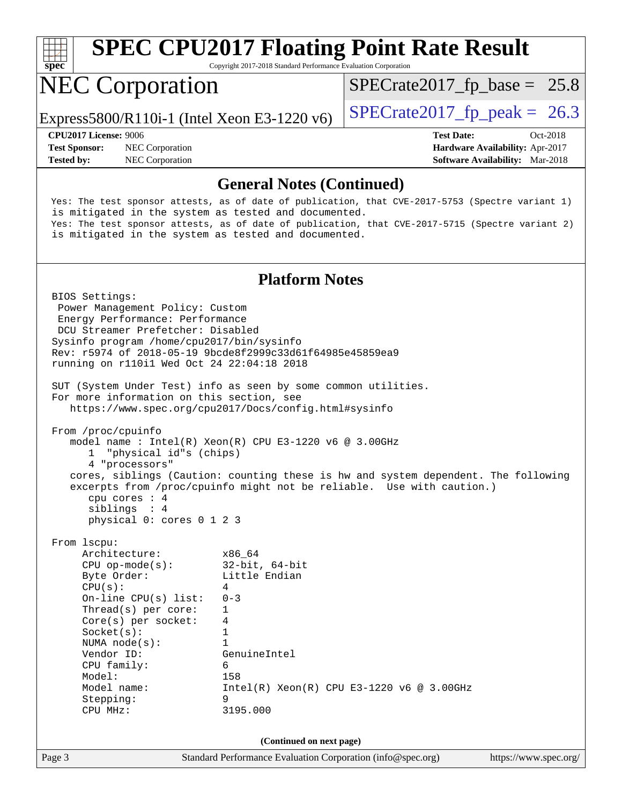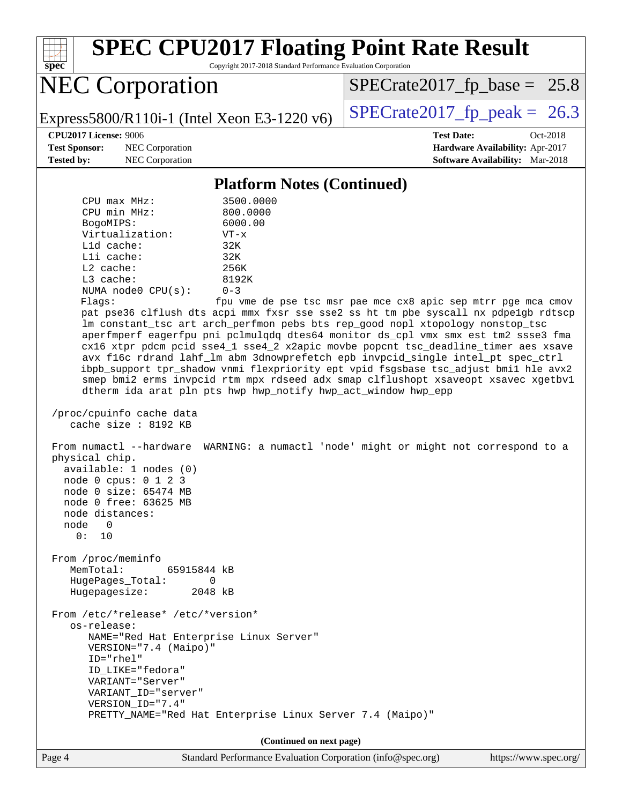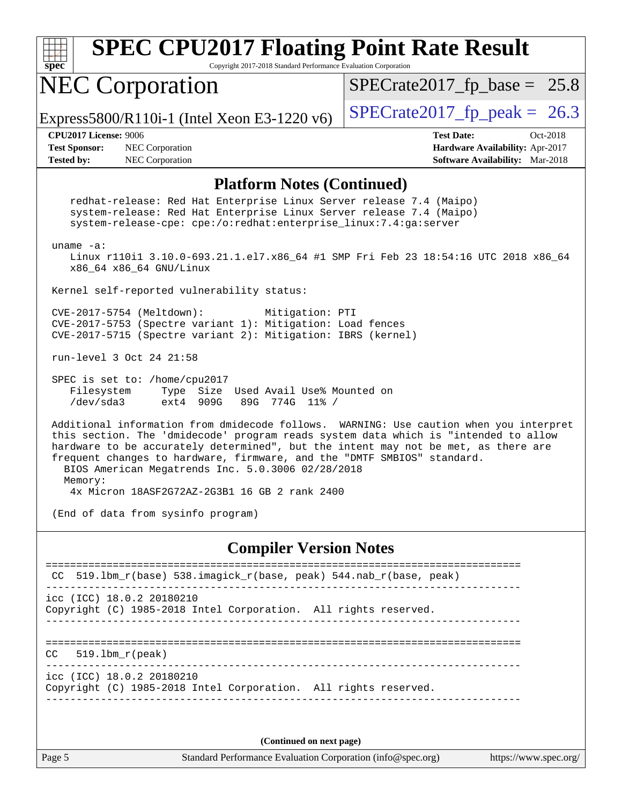| $\overline{\text{spec}^*}$                                                                                                                                                                                                                                                                                                                                                                          | <b>SPEC CPU2017 Floating Point Rate Result</b><br>Copyright 2017-2018 Standard Performance Evaluation Corporation                                                                                              |                                                                                                     |  |  |  |  |
|-----------------------------------------------------------------------------------------------------------------------------------------------------------------------------------------------------------------------------------------------------------------------------------------------------------------------------------------------------------------------------------------------------|----------------------------------------------------------------------------------------------------------------------------------------------------------------------------------------------------------------|-----------------------------------------------------------------------------------------------------|--|--|--|--|
|                                                                                                                                                                                                                                                                                                                                                                                                     | <b>NEC Corporation</b>                                                                                                                                                                                         | $SPECrate2017_fp\_base = 25.8$                                                                      |  |  |  |  |
|                                                                                                                                                                                                                                                                                                                                                                                                     | Express5800/R110i-1 (Intel Xeon E3-1220 v6)                                                                                                                                                                    | $SPECrate2017_fp\_peak = 26.3$                                                                      |  |  |  |  |
| <b>CPU2017 License: 9006</b><br><b>Test Sponsor:</b><br><b>Tested by:</b>                                                                                                                                                                                                                                                                                                                           | NEC Corporation<br>NEC Corporation                                                                                                                                                                             | <b>Test Date:</b><br>Oct-2018<br>Hardware Availability: Apr-2017<br>Software Availability: Mar-2018 |  |  |  |  |
|                                                                                                                                                                                                                                                                                                                                                                                                     | <b>Platform Notes (Continued)</b>                                                                                                                                                                              |                                                                                                     |  |  |  |  |
|                                                                                                                                                                                                                                                                                                                                                                                                     | redhat-release: Red Hat Enterprise Linux Server release 7.4 (Maipo)<br>system-release: Red Hat Enterprise Linux Server release 7.4 (Maipo)<br>system-release-cpe: cpe:/o:redhat:enterprise_linux:7.4:ga:server |                                                                                                     |  |  |  |  |
| uname $-a$ :<br>Linux r110i1 3.10.0-693.21.1.el7.x86_64 #1 SMP Fri Feb 23 18:54:16 UTC 2018 x86_64<br>x86_64 x86_64 GNU/Linux                                                                                                                                                                                                                                                                       |                                                                                                                                                                                                                |                                                                                                     |  |  |  |  |
|                                                                                                                                                                                                                                                                                                                                                                                                     | Kernel self-reported vulnerability status:                                                                                                                                                                     |                                                                                                     |  |  |  |  |
| CVE-2017-5754 (Meltdown):<br>Mitigation: PTI<br>CVE-2017-5753 (Spectre variant 1): Mitigation: Load fences<br>CVE-2017-5715 (Spectre variant 2): Mitigation: IBRS (kernel)                                                                                                                                                                                                                          |                                                                                                                                                                                                                |                                                                                                     |  |  |  |  |
| run-level 3 Oct 24 21:58                                                                                                                                                                                                                                                                                                                                                                            |                                                                                                                                                                                                                |                                                                                                     |  |  |  |  |
| SPEC is set to: /home/cpu2017<br>Filesystem<br>Type Size Used Avail Use% Mounted on<br>/dev/sda3<br>ext4 909G<br>89G<br>774G 11% /                                                                                                                                                                                                                                                                  |                                                                                                                                                                                                                |                                                                                                     |  |  |  |  |
| Additional information from dmidecode follows. WARNING: Use caution when you interpret<br>this section. The 'dmidecode' program reads system data which is "intended to allow<br>hardware to be accurately determined", but the intent may not be met, as there are<br>frequent changes to hardware, firmware, and the "DMTF SMBIOS" standard.<br>BIOS American Megatrends Inc. 5.0.3006 02/28/2018 |                                                                                                                                                                                                                |                                                                                                     |  |  |  |  |
| Memory:<br>4x Micron 18ASF2G72AZ-2G3B1 16 GB 2 rank 2400                                                                                                                                                                                                                                                                                                                                            |                                                                                                                                                                                                                |                                                                                                     |  |  |  |  |
| (End of data from sysinfo program)                                                                                                                                                                                                                                                                                                                                                                  |                                                                                                                                                                                                                |                                                                                                     |  |  |  |  |
| <b>Compiler Version Notes</b>                                                                                                                                                                                                                                                                                                                                                                       |                                                                                                                                                                                                                |                                                                                                     |  |  |  |  |
|                                                                                                                                                                                                                                                                                                                                                                                                     | $519.1bm_r(base)$ 538.imagick_r(base, peak) 544.nab_r(base, peak)                                                                                                                                              |                                                                                                     |  |  |  |  |
| icc (ICC) 18.0.2 20180210<br>Copyright (C) 1985-2018 Intel Corporation. All rights reserved.                                                                                                                                                                                                                                                                                                        |                                                                                                                                                                                                                |                                                                                                     |  |  |  |  |
| CC.                                                                                                                                                                                                                                                                                                                                                                                                 | $519.1bm_r(peak)$                                                                                                                                                                                              |                                                                                                     |  |  |  |  |
| icc (ICC) 18.0.2 20180210<br>Copyright (C) 1985-2018 Intel Corporation. All rights reserved.                                                                                                                                                                                                                                                                                                        |                                                                                                                                                                                                                |                                                                                                     |  |  |  |  |
|                                                                                                                                                                                                                                                                                                                                                                                                     |                                                                                                                                                                                                                |                                                                                                     |  |  |  |  |
|                                                                                                                                                                                                                                                                                                                                                                                                     | (Continued on next page)                                                                                                                                                                                       |                                                                                                     |  |  |  |  |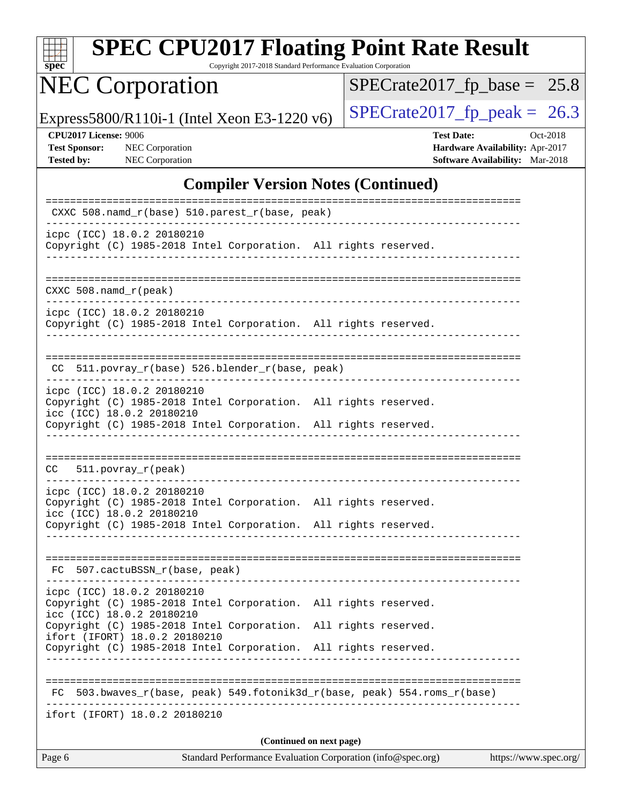| $_{\rm{spe}}$<br>Ľ |  |  |  |  |  |
|--------------------|--|--|--|--|--|

Copyright 2017-2018 Standard Performance Evaluation Corporation

# NEC Corporation

 $SPECrate2017_fp\_base = 25.8$ 

Express5800/R110i-1 (Intel Xeon E3-1220 v6) [SPECrate2017\\_fp\\_peak =](http://www.spec.org/auto/cpu2017/Docs/result-fields.html#SPECrate2017fppeak) 26.3

**[Tested by:](http://www.spec.org/auto/cpu2017/Docs/result-fields.html#Testedby)** NEC Corporation **[Software Availability:](http://www.spec.org/auto/cpu2017/Docs/result-fields.html#SoftwareAvailability)** Mar-2018

**[CPU2017 License:](http://www.spec.org/auto/cpu2017/Docs/result-fields.html#CPU2017License)** 9006 **[Test Date:](http://www.spec.org/auto/cpu2017/Docs/result-fields.html#TestDate)** Oct-2018 **[Test Sponsor:](http://www.spec.org/auto/cpu2017/Docs/result-fields.html#TestSponsor)** NEC Corporation **[Hardware Availability:](http://www.spec.org/auto/cpu2017/Docs/result-fields.html#HardwareAvailability)** Apr-2017

#### **[Compiler Version Notes \(Continued\)](http://www.spec.org/auto/cpu2017/Docs/result-fields.html#CompilerVersionNotes)**

| CXXC 508.namd_r(base) 510.parest_r(base, peak)                                                                                                                                                                                   |                      |  |  |  |
|----------------------------------------------------------------------------------------------------------------------------------------------------------------------------------------------------------------------------------|----------------------|--|--|--|
| icpc (ICC) 18.0.2 20180210<br>Copyright (C) 1985-2018 Intel Corporation. All rights reserved.<br>___________________________________                                                                                             |                      |  |  |  |
| $CXXC$ 508. namd $r$ (peak)                                                                                                                                                                                                      |                      |  |  |  |
| icpc (ICC) 18.0.2 20180210<br>Copyright (C) 1985-2018 Intel Corporation. All rights reserved.                                                                                                                                    |                      |  |  |  |
| CC 511.povray_r(base) 526.blender_r(base, peak)                                                                                                                                                                                  |                      |  |  |  |
| icpc (ICC) 18.0.2 20180210<br>Copyright (C) 1985-2018 Intel Corporation. All rights reserved.<br>icc (ICC) 18.0.2 20180210<br>Copyright (C) 1985-2018 Intel Corporation. All rights reserved.                                    |                      |  |  |  |
| $CC = 511. povray_r (peak)$                                                                                                                                                                                                      |                      |  |  |  |
| icpc (ICC) 18.0.2 20180210<br>Copyright (C) 1985-2018 Intel Corporation. All rights reserved.<br>icc (ICC) 18.0.2 20180210<br>Copyright (C) 1985-2018 Intel Corporation. All rights reserved.<br>_______________________________ |                      |  |  |  |
| FC 507.cactuBSSN_r(base, peak)                                                                                                                                                                                                   |                      |  |  |  |
| icpc (ICC) 18.0.2 20180210<br>Copyright (C) 1985-2018 Intel Corporation. All rights reserved.<br>icc (ICC) 18.0.2 20180210                                                                                                       |                      |  |  |  |
| Copyright (C) 1985-2018 Intel Corporation. All rights reserved.<br>ifort (IFORT) 18.0.2 20180210<br>Copyright (C) 1985-2018 Intel Corporation.                                                                                   | All rights reserved. |  |  |  |
| 503.bwaves_r(base, peak) 549.fotonik3d_r(base, peak) 554.roms_r(base)<br>FC                                                                                                                                                      |                      |  |  |  |
| ifort (IFORT) 18.0.2 20180210                                                                                                                                                                                                    |                      |  |  |  |
| (Continued on next page)<br>Standard Performance Evaluation Corporation (info@spec.org)<br>https://www.spec.org/<br>Page 6                                                                                                       |                      |  |  |  |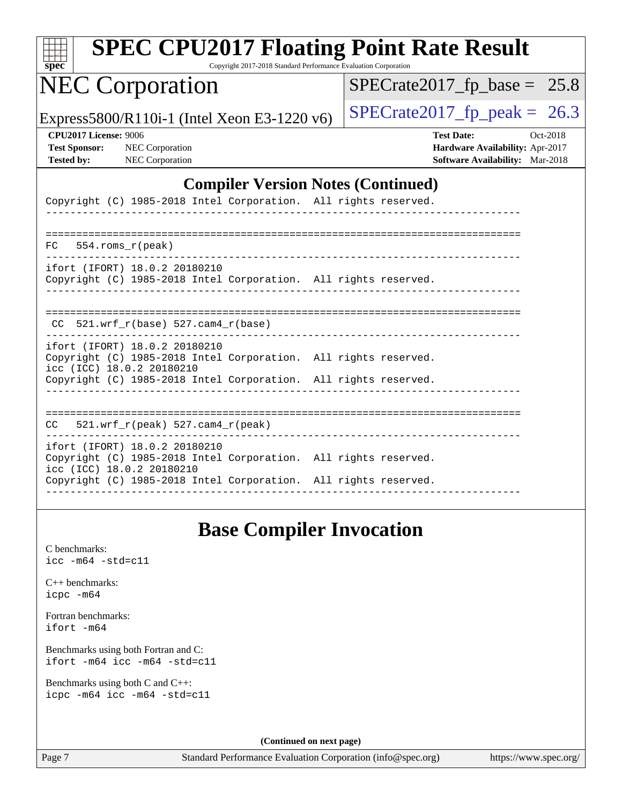| <b>SPEC CPU2017 Floating Point Rate Result</b><br>Copyright 2017-2018 Standard Performance Evaluation Corporation<br>$spec^*$ |                                                                                                            |
|-------------------------------------------------------------------------------------------------------------------------------|------------------------------------------------------------------------------------------------------------|
| <b>NEC Corporation</b>                                                                                                        | $SPECrate2017_fp\_base = 25.8$                                                                             |
| Express5800/R110i-1 (Intel Xeon E3-1220 v6)                                                                                   | $SPECrate2017fp peak =$<br>26.3                                                                            |
| <b>CPU2017 License: 9006</b><br><b>Test Sponsor:</b><br>NEC Corporation<br>NEC Corporation<br><b>Tested by:</b>               | <b>Test Date:</b><br>Oct-2018<br>Hardware Availability: Apr-2017<br><b>Software Availability:</b> Mar-2018 |
| <b>Compiler Version Notes (Continued)</b>                                                                                     |                                                                                                            |
| Copyright (C) 1985-2018 Intel Corporation. All rights reserved.                                                               |                                                                                                            |
| 554.roms r(peak)<br>FC.                                                                                                       |                                                                                                            |
| ifort (IFORT) 18.0.2 20180210<br>Copyright (C) 1985-2018 Intel Corporation. All rights reserved.                              |                                                                                                            |
| $CC$ 521.wrf_r(base) 527.cam4_r(base)                                                                                         |                                                                                                            |
| ifort (IFORT) 18.0.2 20180210<br>Copyright (C) 1985-2018 Intel Corporation. All rights reserved.<br>icc (ICC) 18.0.2 20180210 |                                                                                                            |
| Copyright (C) 1985-2018 Intel Corporation. All rights reserved.                                                               |                                                                                                            |
| $521.wrf_r(peak) 527.cam4_r(peak)$<br>CC                                                                                      |                                                                                                            |
| ifort (IFORT) 18.0.2 20180210<br>Copyright (C) 1985-2018 Intel Corporation. All rights reserved.<br>icc (ICC) 18.0.2 20180210 |                                                                                                            |
| Copyright (C) 1985-2018 Intel Corporation. All rights reserved.                                                               |                                                                                                            |
|                                                                                                                               |                                                                                                            |

### **[Base Compiler Invocation](http://www.spec.org/auto/cpu2017/Docs/result-fields.html#BaseCompilerInvocation)**

[C benchmarks](http://www.spec.org/auto/cpu2017/Docs/result-fields.html#Cbenchmarks): [icc -m64 -std=c11](http://www.spec.org/cpu2017/results/res2018q4/cpu2017-20181029-09322.flags.html#user_CCbase_intel_icc_64bit_c11_33ee0cdaae7deeeab2a9725423ba97205ce30f63b9926c2519791662299b76a0318f32ddfffdc46587804de3178b4f9328c46fa7c2b0cd779d7a61945c91cd35)

[C++ benchmarks:](http://www.spec.org/auto/cpu2017/Docs/result-fields.html#CXXbenchmarks) [icpc -m64](http://www.spec.org/cpu2017/results/res2018q4/cpu2017-20181029-09322.flags.html#user_CXXbase_intel_icpc_64bit_4ecb2543ae3f1412ef961e0650ca070fec7b7afdcd6ed48761b84423119d1bf6bdf5cad15b44d48e7256388bc77273b966e5eb805aefd121eb22e9299b2ec9d9)

[Fortran benchmarks](http://www.spec.org/auto/cpu2017/Docs/result-fields.html#Fortranbenchmarks): [ifort -m64](http://www.spec.org/cpu2017/results/res2018q4/cpu2017-20181029-09322.flags.html#user_FCbase_intel_ifort_64bit_24f2bb282fbaeffd6157abe4f878425411749daecae9a33200eee2bee2fe76f3b89351d69a8130dd5949958ce389cf37ff59a95e7a40d588e8d3a57e0c3fd751)

[Benchmarks using both Fortran and C](http://www.spec.org/auto/cpu2017/Docs/result-fields.html#BenchmarksusingbothFortranandC): [ifort -m64](http://www.spec.org/cpu2017/results/res2018q4/cpu2017-20181029-09322.flags.html#user_CC_FCbase_intel_ifort_64bit_24f2bb282fbaeffd6157abe4f878425411749daecae9a33200eee2bee2fe76f3b89351d69a8130dd5949958ce389cf37ff59a95e7a40d588e8d3a57e0c3fd751) [icc -m64 -std=c11](http://www.spec.org/cpu2017/results/res2018q4/cpu2017-20181029-09322.flags.html#user_CC_FCbase_intel_icc_64bit_c11_33ee0cdaae7deeeab2a9725423ba97205ce30f63b9926c2519791662299b76a0318f32ddfffdc46587804de3178b4f9328c46fa7c2b0cd779d7a61945c91cd35)

[Benchmarks using both C and C++](http://www.spec.org/auto/cpu2017/Docs/result-fields.html#BenchmarksusingbothCandCXX): [icpc -m64](http://www.spec.org/cpu2017/results/res2018q4/cpu2017-20181029-09322.flags.html#user_CC_CXXbase_intel_icpc_64bit_4ecb2543ae3f1412ef961e0650ca070fec7b7afdcd6ed48761b84423119d1bf6bdf5cad15b44d48e7256388bc77273b966e5eb805aefd121eb22e9299b2ec9d9) [icc -m64 -std=c11](http://www.spec.org/cpu2017/results/res2018q4/cpu2017-20181029-09322.flags.html#user_CC_CXXbase_intel_icc_64bit_c11_33ee0cdaae7deeeab2a9725423ba97205ce30f63b9926c2519791662299b76a0318f32ddfffdc46587804de3178b4f9328c46fa7c2b0cd779d7a61945c91cd35)

**(Continued on next page)**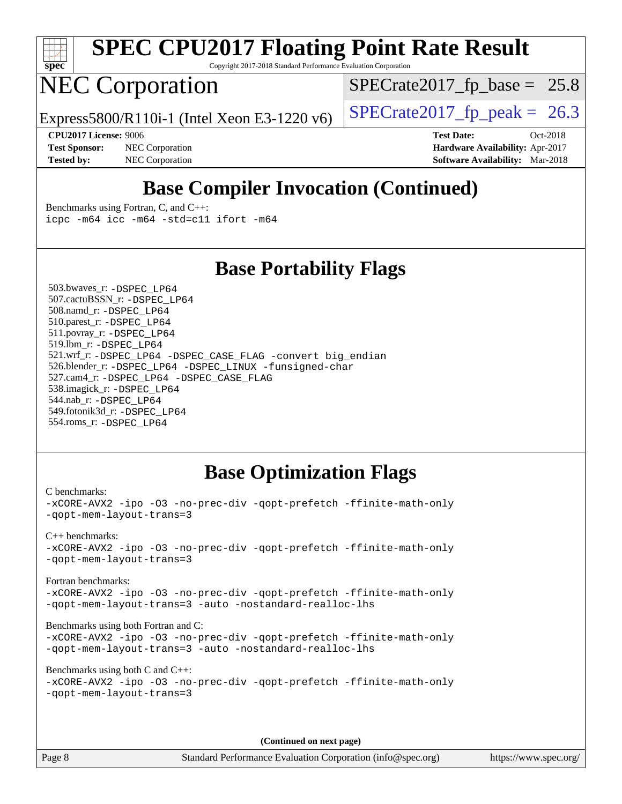

Copyright 2017-2018 Standard Performance Evaluation Corporation

### NEC Corporation

 $SPECTate2017_fp\_base = 25.8$ 

Express5800/R110i-1 (Intel Xeon E3-1220 v6) [SPECrate2017\\_fp\\_peak =](http://www.spec.org/auto/cpu2017/Docs/result-fields.html#SPECrate2017fppeak) 26.3

**[Test Sponsor:](http://www.spec.org/auto/cpu2017/Docs/result-fields.html#TestSponsor)** NEC Corporation **[Hardware Availability:](http://www.spec.org/auto/cpu2017/Docs/result-fields.html#HardwareAvailability)** Apr-2017 **[Tested by:](http://www.spec.org/auto/cpu2017/Docs/result-fields.html#Testedby)** NEC Corporation **[Software Availability:](http://www.spec.org/auto/cpu2017/Docs/result-fields.html#SoftwareAvailability)** Mar-2018

**[CPU2017 License:](http://www.spec.org/auto/cpu2017/Docs/result-fields.html#CPU2017License)** 9006 **[Test Date:](http://www.spec.org/auto/cpu2017/Docs/result-fields.html#TestDate)** Oct-2018

### **[Base Compiler Invocation \(Continued\)](http://www.spec.org/auto/cpu2017/Docs/result-fields.html#BaseCompilerInvocation)**

[Benchmarks using Fortran, C, and C++:](http://www.spec.org/auto/cpu2017/Docs/result-fields.html#BenchmarksusingFortranCandCXX) [icpc -m64](http://www.spec.org/cpu2017/results/res2018q4/cpu2017-20181029-09322.flags.html#user_CC_CXX_FCbase_intel_icpc_64bit_4ecb2543ae3f1412ef961e0650ca070fec7b7afdcd6ed48761b84423119d1bf6bdf5cad15b44d48e7256388bc77273b966e5eb805aefd121eb22e9299b2ec9d9) [icc -m64 -std=c11](http://www.spec.org/cpu2017/results/res2018q4/cpu2017-20181029-09322.flags.html#user_CC_CXX_FCbase_intel_icc_64bit_c11_33ee0cdaae7deeeab2a9725423ba97205ce30f63b9926c2519791662299b76a0318f32ddfffdc46587804de3178b4f9328c46fa7c2b0cd779d7a61945c91cd35) [ifort -m64](http://www.spec.org/cpu2017/results/res2018q4/cpu2017-20181029-09322.flags.html#user_CC_CXX_FCbase_intel_ifort_64bit_24f2bb282fbaeffd6157abe4f878425411749daecae9a33200eee2bee2fe76f3b89351d69a8130dd5949958ce389cf37ff59a95e7a40d588e8d3a57e0c3fd751)

### **[Base Portability Flags](http://www.spec.org/auto/cpu2017/Docs/result-fields.html#BasePortabilityFlags)**

 503.bwaves\_r: [-DSPEC\\_LP64](http://www.spec.org/cpu2017/results/res2018q4/cpu2017-20181029-09322.flags.html#suite_basePORTABILITY503_bwaves_r_DSPEC_LP64) 507.cactuBSSN\_r: [-DSPEC\\_LP64](http://www.spec.org/cpu2017/results/res2018q4/cpu2017-20181029-09322.flags.html#suite_basePORTABILITY507_cactuBSSN_r_DSPEC_LP64) 508.namd\_r: [-DSPEC\\_LP64](http://www.spec.org/cpu2017/results/res2018q4/cpu2017-20181029-09322.flags.html#suite_basePORTABILITY508_namd_r_DSPEC_LP64) 510.parest\_r: [-DSPEC\\_LP64](http://www.spec.org/cpu2017/results/res2018q4/cpu2017-20181029-09322.flags.html#suite_basePORTABILITY510_parest_r_DSPEC_LP64) 511.povray\_r: [-DSPEC\\_LP64](http://www.spec.org/cpu2017/results/res2018q4/cpu2017-20181029-09322.flags.html#suite_basePORTABILITY511_povray_r_DSPEC_LP64) 519.lbm\_r: [-DSPEC\\_LP64](http://www.spec.org/cpu2017/results/res2018q4/cpu2017-20181029-09322.flags.html#suite_basePORTABILITY519_lbm_r_DSPEC_LP64) 521.wrf\_r: [-DSPEC\\_LP64](http://www.spec.org/cpu2017/results/res2018q4/cpu2017-20181029-09322.flags.html#suite_basePORTABILITY521_wrf_r_DSPEC_LP64) [-DSPEC\\_CASE\\_FLAG](http://www.spec.org/cpu2017/results/res2018q4/cpu2017-20181029-09322.flags.html#b521.wrf_r_baseCPORTABILITY_DSPEC_CASE_FLAG) [-convert big\\_endian](http://www.spec.org/cpu2017/results/res2018q4/cpu2017-20181029-09322.flags.html#user_baseFPORTABILITY521_wrf_r_convert_big_endian_c3194028bc08c63ac5d04de18c48ce6d347e4e562e8892b8bdbdc0214820426deb8554edfa529a3fb25a586e65a3d812c835984020483e7e73212c4d31a38223) 526.blender\_r: [-DSPEC\\_LP64](http://www.spec.org/cpu2017/results/res2018q4/cpu2017-20181029-09322.flags.html#suite_basePORTABILITY526_blender_r_DSPEC_LP64) [-DSPEC\\_LINUX](http://www.spec.org/cpu2017/results/res2018q4/cpu2017-20181029-09322.flags.html#b526.blender_r_baseCPORTABILITY_DSPEC_LINUX) [-funsigned-char](http://www.spec.org/cpu2017/results/res2018q4/cpu2017-20181029-09322.flags.html#user_baseCPORTABILITY526_blender_r_force_uchar_40c60f00ab013830e2dd6774aeded3ff59883ba5a1fc5fc14077f794d777847726e2a5858cbc7672e36e1b067e7e5c1d9a74f7176df07886a243d7cc18edfe67) 527.cam4\_r: [-DSPEC\\_LP64](http://www.spec.org/cpu2017/results/res2018q4/cpu2017-20181029-09322.flags.html#suite_basePORTABILITY527_cam4_r_DSPEC_LP64) [-DSPEC\\_CASE\\_FLAG](http://www.spec.org/cpu2017/results/res2018q4/cpu2017-20181029-09322.flags.html#b527.cam4_r_baseCPORTABILITY_DSPEC_CASE_FLAG) 538.imagick\_r: [-DSPEC\\_LP64](http://www.spec.org/cpu2017/results/res2018q4/cpu2017-20181029-09322.flags.html#suite_basePORTABILITY538_imagick_r_DSPEC_LP64) 544.nab\_r: [-DSPEC\\_LP64](http://www.spec.org/cpu2017/results/res2018q4/cpu2017-20181029-09322.flags.html#suite_basePORTABILITY544_nab_r_DSPEC_LP64) 549.fotonik3d\_r: [-DSPEC\\_LP64](http://www.spec.org/cpu2017/results/res2018q4/cpu2017-20181029-09322.flags.html#suite_basePORTABILITY549_fotonik3d_r_DSPEC_LP64) 554.roms\_r: [-DSPEC\\_LP64](http://www.spec.org/cpu2017/results/res2018q4/cpu2017-20181029-09322.flags.html#suite_basePORTABILITY554_roms_r_DSPEC_LP64)

### **[Base Optimization Flags](http://www.spec.org/auto/cpu2017/Docs/result-fields.html#BaseOptimizationFlags)**

[C benchmarks](http://www.spec.org/auto/cpu2017/Docs/result-fields.html#Cbenchmarks): [-xCORE-AVX2](http://www.spec.org/cpu2017/results/res2018q4/cpu2017-20181029-09322.flags.html#user_CCbase_f-xCORE-AVX2) [-ipo](http://www.spec.org/cpu2017/results/res2018q4/cpu2017-20181029-09322.flags.html#user_CCbase_f-ipo) [-O3](http://www.spec.org/cpu2017/results/res2018q4/cpu2017-20181029-09322.flags.html#user_CCbase_f-O3) [-no-prec-div](http://www.spec.org/cpu2017/results/res2018q4/cpu2017-20181029-09322.flags.html#user_CCbase_f-no-prec-div) [-qopt-prefetch](http://www.spec.org/cpu2017/results/res2018q4/cpu2017-20181029-09322.flags.html#user_CCbase_f-qopt-prefetch) [-ffinite-math-only](http://www.spec.org/cpu2017/results/res2018q4/cpu2017-20181029-09322.flags.html#user_CCbase_f_finite_math_only_cb91587bd2077682c4b38af759c288ed7c732db004271a9512da14a4f8007909a5f1427ecbf1a0fb78ff2a814402c6114ac565ca162485bbcae155b5e4258871) [-qopt-mem-layout-trans=3](http://www.spec.org/cpu2017/results/res2018q4/cpu2017-20181029-09322.flags.html#user_CCbase_f-qopt-mem-layout-trans_de80db37974c74b1f0e20d883f0b675c88c3b01e9d123adea9b28688d64333345fb62bc4a798493513fdb68f60282f9a726aa07f478b2f7113531aecce732043) [C++ benchmarks:](http://www.spec.org/auto/cpu2017/Docs/result-fields.html#CXXbenchmarks) [-xCORE-AVX2](http://www.spec.org/cpu2017/results/res2018q4/cpu2017-20181029-09322.flags.html#user_CXXbase_f-xCORE-AVX2) [-ipo](http://www.spec.org/cpu2017/results/res2018q4/cpu2017-20181029-09322.flags.html#user_CXXbase_f-ipo) [-O3](http://www.spec.org/cpu2017/results/res2018q4/cpu2017-20181029-09322.flags.html#user_CXXbase_f-O3) [-no-prec-div](http://www.spec.org/cpu2017/results/res2018q4/cpu2017-20181029-09322.flags.html#user_CXXbase_f-no-prec-div) [-qopt-prefetch](http://www.spec.org/cpu2017/results/res2018q4/cpu2017-20181029-09322.flags.html#user_CXXbase_f-qopt-prefetch) [-ffinite-math-only](http://www.spec.org/cpu2017/results/res2018q4/cpu2017-20181029-09322.flags.html#user_CXXbase_f_finite_math_only_cb91587bd2077682c4b38af759c288ed7c732db004271a9512da14a4f8007909a5f1427ecbf1a0fb78ff2a814402c6114ac565ca162485bbcae155b5e4258871) [-qopt-mem-layout-trans=3](http://www.spec.org/cpu2017/results/res2018q4/cpu2017-20181029-09322.flags.html#user_CXXbase_f-qopt-mem-layout-trans_de80db37974c74b1f0e20d883f0b675c88c3b01e9d123adea9b28688d64333345fb62bc4a798493513fdb68f60282f9a726aa07f478b2f7113531aecce732043) [Fortran benchmarks](http://www.spec.org/auto/cpu2017/Docs/result-fields.html#Fortranbenchmarks): [-xCORE-AVX2](http://www.spec.org/cpu2017/results/res2018q4/cpu2017-20181029-09322.flags.html#user_FCbase_f-xCORE-AVX2) [-ipo](http://www.spec.org/cpu2017/results/res2018q4/cpu2017-20181029-09322.flags.html#user_FCbase_f-ipo) [-O3](http://www.spec.org/cpu2017/results/res2018q4/cpu2017-20181029-09322.flags.html#user_FCbase_f-O3) [-no-prec-div](http://www.spec.org/cpu2017/results/res2018q4/cpu2017-20181029-09322.flags.html#user_FCbase_f-no-prec-div) [-qopt-prefetch](http://www.spec.org/cpu2017/results/res2018q4/cpu2017-20181029-09322.flags.html#user_FCbase_f-qopt-prefetch) [-ffinite-math-only](http://www.spec.org/cpu2017/results/res2018q4/cpu2017-20181029-09322.flags.html#user_FCbase_f_finite_math_only_cb91587bd2077682c4b38af759c288ed7c732db004271a9512da14a4f8007909a5f1427ecbf1a0fb78ff2a814402c6114ac565ca162485bbcae155b5e4258871) [-qopt-mem-layout-trans=3](http://www.spec.org/cpu2017/results/res2018q4/cpu2017-20181029-09322.flags.html#user_FCbase_f-qopt-mem-layout-trans_de80db37974c74b1f0e20d883f0b675c88c3b01e9d123adea9b28688d64333345fb62bc4a798493513fdb68f60282f9a726aa07f478b2f7113531aecce732043) [-auto](http://www.spec.org/cpu2017/results/res2018q4/cpu2017-20181029-09322.flags.html#user_FCbase_f-auto) [-nostandard-realloc-lhs](http://www.spec.org/cpu2017/results/res2018q4/cpu2017-20181029-09322.flags.html#user_FCbase_f_2003_std_realloc_82b4557e90729c0f113870c07e44d33d6f5a304b4f63d4c15d2d0f1fab99f5daaed73bdb9275d9ae411527f28b936061aa8b9c8f2d63842963b95c9dd6426b8a) [Benchmarks using both Fortran and C](http://www.spec.org/auto/cpu2017/Docs/result-fields.html#BenchmarksusingbothFortranandC): [-xCORE-AVX2](http://www.spec.org/cpu2017/results/res2018q4/cpu2017-20181029-09322.flags.html#user_CC_FCbase_f-xCORE-AVX2) [-ipo](http://www.spec.org/cpu2017/results/res2018q4/cpu2017-20181029-09322.flags.html#user_CC_FCbase_f-ipo) [-O3](http://www.spec.org/cpu2017/results/res2018q4/cpu2017-20181029-09322.flags.html#user_CC_FCbase_f-O3) [-no-prec-div](http://www.spec.org/cpu2017/results/res2018q4/cpu2017-20181029-09322.flags.html#user_CC_FCbase_f-no-prec-div) [-qopt-prefetch](http://www.spec.org/cpu2017/results/res2018q4/cpu2017-20181029-09322.flags.html#user_CC_FCbase_f-qopt-prefetch) [-ffinite-math-only](http://www.spec.org/cpu2017/results/res2018q4/cpu2017-20181029-09322.flags.html#user_CC_FCbase_f_finite_math_only_cb91587bd2077682c4b38af759c288ed7c732db004271a9512da14a4f8007909a5f1427ecbf1a0fb78ff2a814402c6114ac565ca162485bbcae155b5e4258871) [-qopt-mem-layout-trans=3](http://www.spec.org/cpu2017/results/res2018q4/cpu2017-20181029-09322.flags.html#user_CC_FCbase_f-qopt-mem-layout-trans_de80db37974c74b1f0e20d883f0b675c88c3b01e9d123adea9b28688d64333345fb62bc4a798493513fdb68f60282f9a726aa07f478b2f7113531aecce732043) [-auto](http://www.spec.org/cpu2017/results/res2018q4/cpu2017-20181029-09322.flags.html#user_CC_FCbase_f-auto) [-nostandard-realloc-lhs](http://www.spec.org/cpu2017/results/res2018q4/cpu2017-20181029-09322.flags.html#user_CC_FCbase_f_2003_std_realloc_82b4557e90729c0f113870c07e44d33d6f5a304b4f63d4c15d2d0f1fab99f5daaed73bdb9275d9ae411527f28b936061aa8b9c8f2d63842963b95c9dd6426b8a) [Benchmarks using both C and C++](http://www.spec.org/auto/cpu2017/Docs/result-fields.html#BenchmarksusingbothCandCXX): [-xCORE-AVX2](http://www.spec.org/cpu2017/results/res2018q4/cpu2017-20181029-09322.flags.html#user_CC_CXXbase_f-xCORE-AVX2) [-ipo](http://www.spec.org/cpu2017/results/res2018q4/cpu2017-20181029-09322.flags.html#user_CC_CXXbase_f-ipo) [-O3](http://www.spec.org/cpu2017/results/res2018q4/cpu2017-20181029-09322.flags.html#user_CC_CXXbase_f-O3) [-no-prec-div](http://www.spec.org/cpu2017/results/res2018q4/cpu2017-20181029-09322.flags.html#user_CC_CXXbase_f-no-prec-div) [-qopt-prefetch](http://www.spec.org/cpu2017/results/res2018q4/cpu2017-20181029-09322.flags.html#user_CC_CXXbase_f-qopt-prefetch) [-ffinite-math-only](http://www.spec.org/cpu2017/results/res2018q4/cpu2017-20181029-09322.flags.html#user_CC_CXXbase_f_finite_math_only_cb91587bd2077682c4b38af759c288ed7c732db004271a9512da14a4f8007909a5f1427ecbf1a0fb78ff2a814402c6114ac565ca162485bbcae155b5e4258871) [-qopt-mem-layout-trans=3](http://www.spec.org/cpu2017/results/res2018q4/cpu2017-20181029-09322.flags.html#user_CC_CXXbase_f-qopt-mem-layout-trans_de80db37974c74b1f0e20d883f0b675c88c3b01e9d123adea9b28688d64333345fb62bc4a798493513fdb68f60282f9a726aa07f478b2f7113531aecce732043)

**(Continued on next page)**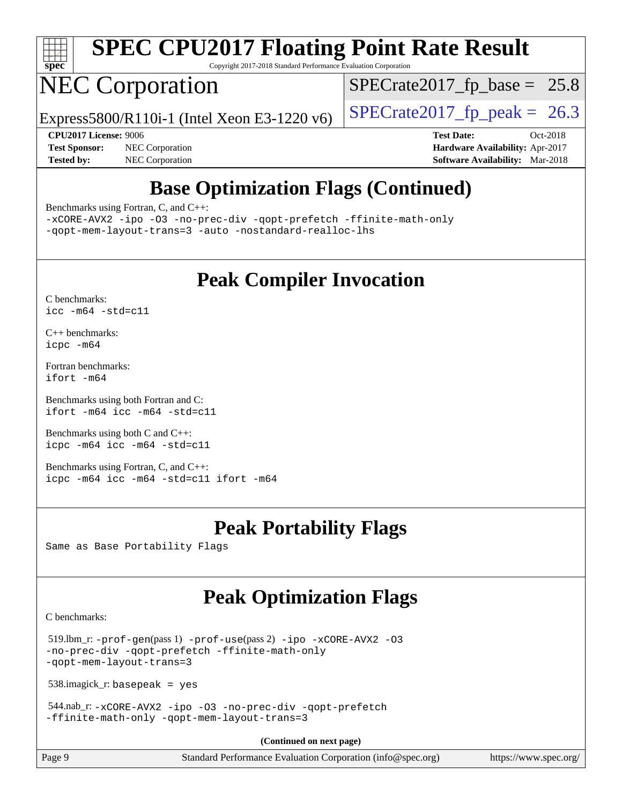

Copyright 2017-2018 Standard Performance Evaluation Corporation

## NEC Corporation

 $SPECTate2017_fp\_base = 25.8$ 

Express5800/R110i-1 (Intel Xeon E3-1220 v6) [SPECrate2017\\_fp\\_peak =](http://www.spec.org/auto/cpu2017/Docs/result-fields.html#SPECrate2017fppeak) 26.3

**[Test Sponsor:](http://www.spec.org/auto/cpu2017/Docs/result-fields.html#TestSponsor)** NEC Corporation **[Hardware Availability:](http://www.spec.org/auto/cpu2017/Docs/result-fields.html#HardwareAvailability)** Apr-2017 **[Tested by:](http://www.spec.org/auto/cpu2017/Docs/result-fields.html#Testedby)** NEC Corporation **[Software Availability:](http://www.spec.org/auto/cpu2017/Docs/result-fields.html#SoftwareAvailability)** Mar-2018

**[CPU2017 License:](http://www.spec.org/auto/cpu2017/Docs/result-fields.html#CPU2017License)** 9006 **[Test Date:](http://www.spec.org/auto/cpu2017/Docs/result-fields.html#TestDate)** Oct-2018

### **[Base Optimization Flags \(Continued\)](http://www.spec.org/auto/cpu2017/Docs/result-fields.html#BaseOptimizationFlags)**

[Benchmarks using Fortran, C, and C++:](http://www.spec.org/auto/cpu2017/Docs/result-fields.html#BenchmarksusingFortranCandCXX)

[-xCORE-AVX2](http://www.spec.org/cpu2017/results/res2018q4/cpu2017-20181029-09322.flags.html#user_CC_CXX_FCbase_f-xCORE-AVX2) [-ipo](http://www.spec.org/cpu2017/results/res2018q4/cpu2017-20181029-09322.flags.html#user_CC_CXX_FCbase_f-ipo) [-O3](http://www.spec.org/cpu2017/results/res2018q4/cpu2017-20181029-09322.flags.html#user_CC_CXX_FCbase_f-O3) [-no-prec-div](http://www.spec.org/cpu2017/results/res2018q4/cpu2017-20181029-09322.flags.html#user_CC_CXX_FCbase_f-no-prec-div) [-qopt-prefetch](http://www.spec.org/cpu2017/results/res2018q4/cpu2017-20181029-09322.flags.html#user_CC_CXX_FCbase_f-qopt-prefetch) [-ffinite-math-only](http://www.spec.org/cpu2017/results/res2018q4/cpu2017-20181029-09322.flags.html#user_CC_CXX_FCbase_f_finite_math_only_cb91587bd2077682c4b38af759c288ed7c732db004271a9512da14a4f8007909a5f1427ecbf1a0fb78ff2a814402c6114ac565ca162485bbcae155b5e4258871) [-qopt-mem-layout-trans=3](http://www.spec.org/cpu2017/results/res2018q4/cpu2017-20181029-09322.flags.html#user_CC_CXX_FCbase_f-qopt-mem-layout-trans_de80db37974c74b1f0e20d883f0b675c88c3b01e9d123adea9b28688d64333345fb62bc4a798493513fdb68f60282f9a726aa07f478b2f7113531aecce732043) [-auto](http://www.spec.org/cpu2017/results/res2018q4/cpu2017-20181029-09322.flags.html#user_CC_CXX_FCbase_f-auto) [-nostandard-realloc-lhs](http://www.spec.org/cpu2017/results/res2018q4/cpu2017-20181029-09322.flags.html#user_CC_CXX_FCbase_f_2003_std_realloc_82b4557e90729c0f113870c07e44d33d6f5a304b4f63d4c15d2d0f1fab99f5daaed73bdb9275d9ae411527f28b936061aa8b9c8f2d63842963b95c9dd6426b8a)

### **[Peak Compiler Invocation](http://www.spec.org/auto/cpu2017/Docs/result-fields.html#PeakCompilerInvocation)**

[C benchmarks](http://www.spec.org/auto/cpu2017/Docs/result-fields.html#Cbenchmarks): [icc -m64 -std=c11](http://www.spec.org/cpu2017/results/res2018q4/cpu2017-20181029-09322.flags.html#user_CCpeak_intel_icc_64bit_c11_33ee0cdaae7deeeab2a9725423ba97205ce30f63b9926c2519791662299b76a0318f32ddfffdc46587804de3178b4f9328c46fa7c2b0cd779d7a61945c91cd35)

[C++ benchmarks:](http://www.spec.org/auto/cpu2017/Docs/result-fields.html#CXXbenchmarks) [icpc -m64](http://www.spec.org/cpu2017/results/res2018q4/cpu2017-20181029-09322.flags.html#user_CXXpeak_intel_icpc_64bit_4ecb2543ae3f1412ef961e0650ca070fec7b7afdcd6ed48761b84423119d1bf6bdf5cad15b44d48e7256388bc77273b966e5eb805aefd121eb22e9299b2ec9d9)

[Fortran benchmarks](http://www.spec.org/auto/cpu2017/Docs/result-fields.html#Fortranbenchmarks): [ifort -m64](http://www.spec.org/cpu2017/results/res2018q4/cpu2017-20181029-09322.flags.html#user_FCpeak_intel_ifort_64bit_24f2bb282fbaeffd6157abe4f878425411749daecae9a33200eee2bee2fe76f3b89351d69a8130dd5949958ce389cf37ff59a95e7a40d588e8d3a57e0c3fd751)

[Benchmarks using both Fortran and C](http://www.spec.org/auto/cpu2017/Docs/result-fields.html#BenchmarksusingbothFortranandC): [ifort -m64](http://www.spec.org/cpu2017/results/res2018q4/cpu2017-20181029-09322.flags.html#user_CC_FCpeak_intel_ifort_64bit_24f2bb282fbaeffd6157abe4f878425411749daecae9a33200eee2bee2fe76f3b89351d69a8130dd5949958ce389cf37ff59a95e7a40d588e8d3a57e0c3fd751) [icc -m64 -std=c11](http://www.spec.org/cpu2017/results/res2018q4/cpu2017-20181029-09322.flags.html#user_CC_FCpeak_intel_icc_64bit_c11_33ee0cdaae7deeeab2a9725423ba97205ce30f63b9926c2519791662299b76a0318f32ddfffdc46587804de3178b4f9328c46fa7c2b0cd779d7a61945c91cd35)

[Benchmarks using both C and C++](http://www.spec.org/auto/cpu2017/Docs/result-fields.html#BenchmarksusingbothCandCXX): [icpc -m64](http://www.spec.org/cpu2017/results/res2018q4/cpu2017-20181029-09322.flags.html#user_CC_CXXpeak_intel_icpc_64bit_4ecb2543ae3f1412ef961e0650ca070fec7b7afdcd6ed48761b84423119d1bf6bdf5cad15b44d48e7256388bc77273b966e5eb805aefd121eb22e9299b2ec9d9) [icc -m64 -std=c11](http://www.spec.org/cpu2017/results/res2018q4/cpu2017-20181029-09322.flags.html#user_CC_CXXpeak_intel_icc_64bit_c11_33ee0cdaae7deeeab2a9725423ba97205ce30f63b9926c2519791662299b76a0318f32ddfffdc46587804de3178b4f9328c46fa7c2b0cd779d7a61945c91cd35)

[Benchmarks using Fortran, C, and C++:](http://www.spec.org/auto/cpu2017/Docs/result-fields.html#BenchmarksusingFortranCandCXX) [icpc -m64](http://www.spec.org/cpu2017/results/res2018q4/cpu2017-20181029-09322.flags.html#user_CC_CXX_FCpeak_intel_icpc_64bit_4ecb2543ae3f1412ef961e0650ca070fec7b7afdcd6ed48761b84423119d1bf6bdf5cad15b44d48e7256388bc77273b966e5eb805aefd121eb22e9299b2ec9d9) [icc -m64 -std=c11](http://www.spec.org/cpu2017/results/res2018q4/cpu2017-20181029-09322.flags.html#user_CC_CXX_FCpeak_intel_icc_64bit_c11_33ee0cdaae7deeeab2a9725423ba97205ce30f63b9926c2519791662299b76a0318f32ddfffdc46587804de3178b4f9328c46fa7c2b0cd779d7a61945c91cd35) [ifort -m64](http://www.spec.org/cpu2017/results/res2018q4/cpu2017-20181029-09322.flags.html#user_CC_CXX_FCpeak_intel_ifort_64bit_24f2bb282fbaeffd6157abe4f878425411749daecae9a33200eee2bee2fe76f3b89351d69a8130dd5949958ce389cf37ff59a95e7a40d588e8d3a57e0c3fd751)

### **[Peak Portability Flags](http://www.spec.org/auto/cpu2017/Docs/result-fields.html#PeakPortabilityFlags)**

Same as Base Portability Flags

### **[Peak Optimization Flags](http://www.spec.org/auto/cpu2017/Docs/result-fields.html#PeakOptimizationFlags)**

[C benchmarks](http://www.spec.org/auto/cpu2017/Docs/result-fields.html#Cbenchmarks):

 519.lbm\_r: [-prof-gen](http://www.spec.org/cpu2017/results/res2018q4/cpu2017-20181029-09322.flags.html#user_peakPASS1_CFLAGSPASS1_LDFLAGS519_lbm_r_prof_gen_5aa4926d6013ddb2a31985c654b3eb18169fc0c6952a63635c234f711e6e63dd76e94ad52365559451ec499a2cdb89e4dc58ba4c67ef54ca681ffbe1461d6b36)(pass 1) [-prof-use](http://www.spec.org/cpu2017/results/res2018q4/cpu2017-20181029-09322.flags.html#user_peakPASS2_CFLAGSPASS2_LDFLAGS519_lbm_r_prof_use_1a21ceae95f36a2b53c25747139a6c16ca95bd9def2a207b4f0849963b97e94f5260e30a0c64f4bb623698870e679ca08317ef8150905d41bd88c6f78df73f19)(pass 2) [-ipo](http://www.spec.org/cpu2017/results/res2018q4/cpu2017-20181029-09322.flags.html#user_peakPASS1_COPTIMIZEPASS2_COPTIMIZE519_lbm_r_f-ipo) [-xCORE-AVX2](http://www.spec.org/cpu2017/results/res2018q4/cpu2017-20181029-09322.flags.html#user_peakPASS2_COPTIMIZE519_lbm_r_f-xCORE-AVX2) [-O3](http://www.spec.org/cpu2017/results/res2018q4/cpu2017-20181029-09322.flags.html#user_peakPASS1_COPTIMIZEPASS2_COPTIMIZE519_lbm_r_f-O3) [-no-prec-div](http://www.spec.org/cpu2017/results/res2018q4/cpu2017-20181029-09322.flags.html#user_peakPASS1_COPTIMIZEPASS2_COPTIMIZE519_lbm_r_f-no-prec-div) [-qopt-prefetch](http://www.spec.org/cpu2017/results/res2018q4/cpu2017-20181029-09322.flags.html#user_peakPASS1_COPTIMIZEPASS2_COPTIMIZE519_lbm_r_f-qopt-prefetch) [-ffinite-math-only](http://www.spec.org/cpu2017/results/res2018q4/cpu2017-20181029-09322.flags.html#user_peakPASS1_COPTIMIZEPASS2_COPTIMIZE519_lbm_r_f_finite_math_only_cb91587bd2077682c4b38af759c288ed7c732db004271a9512da14a4f8007909a5f1427ecbf1a0fb78ff2a814402c6114ac565ca162485bbcae155b5e4258871) [-qopt-mem-layout-trans=3](http://www.spec.org/cpu2017/results/res2018q4/cpu2017-20181029-09322.flags.html#user_peakPASS1_COPTIMIZEPASS2_COPTIMIZE519_lbm_r_f-qopt-mem-layout-trans_de80db37974c74b1f0e20d883f0b675c88c3b01e9d123adea9b28688d64333345fb62bc4a798493513fdb68f60282f9a726aa07f478b2f7113531aecce732043)

538.imagick\_r: basepeak = yes

 544.nab\_r: [-xCORE-AVX2](http://www.spec.org/cpu2017/results/res2018q4/cpu2017-20181029-09322.flags.html#user_peakCOPTIMIZE544_nab_r_f-xCORE-AVX2) [-ipo](http://www.spec.org/cpu2017/results/res2018q4/cpu2017-20181029-09322.flags.html#user_peakCOPTIMIZE544_nab_r_f-ipo) [-O3](http://www.spec.org/cpu2017/results/res2018q4/cpu2017-20181029-09322.flags.html#user_peakCOPTIMIZE544_nab_r_f-O3) [-no-prec-div](http://www.spec.org/cpu2017/results/res2018q4/cpu2017-20181029-09322.flags.html#user_peakCOPTIMIZE544_nab_r_f-no-prec-div) [-qopt-prefetch](http://www.spec.org/cpu2017/results/res2018q4/cpu2017-20181029-09322.flags.html#user_peakCOPTIMIZE544_nab_r_f-qopt-prefetch) [-ffinite-math-only](http://www.spec.org/cpu2017/results/res2018q4/cpu2017-20181029-09322.flags.html#user_peakCOPTIMIZE544_nab_r_f_finite_math_only_cb91587bd2077682c4b38af759c288ed7c732db004271a9512da14a4f8007909a5f1427ecbf1a0fb78ff2a814402c6114ac565ca162485bbcae155b5e4258871) [-qopt-mem-layout-trans=3](http://www.spec.org/cpu2017/results/res2018q4/cpu2017-20181029-09322.flags.html#user_peakCOPTIMIZE544_nab_r_f-qopt-mem-layout-trans_de80db37974c74b1f0e20d883f0b675c88c3b01e9d123adea9b28688d64333345fb62bc4a798493513fdb68f60282f9a726aa07f478b2f7113531aecce732043)

**(Continued on next page)**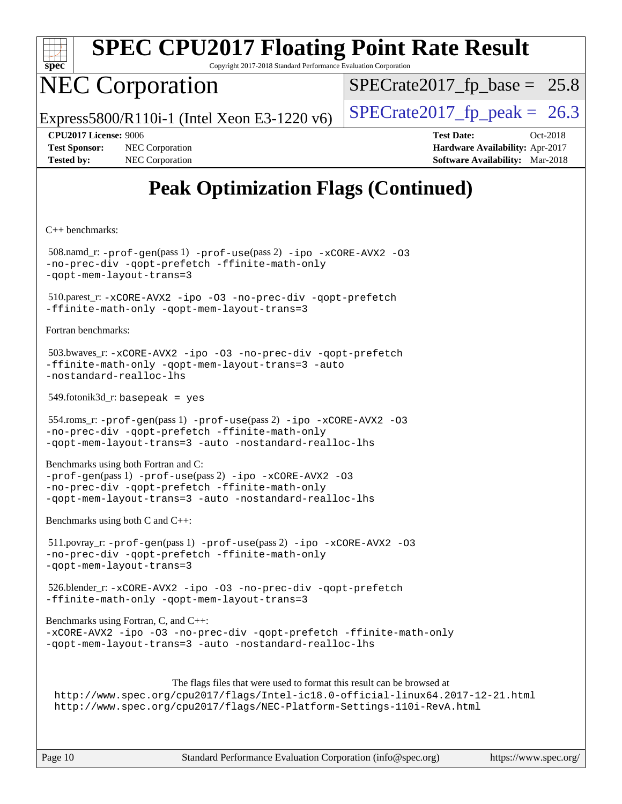

Copyright 2017-2018 Standard Performance Evaluation Corporation

## NEC Corporation

 $SPECTate2017_fp\_base = 25.8$ 

Express5800/R110i-1 (Intel Xeon E3-1220 v6) [SPECrate2017\\_fp\\_peak =](http://www.spec.org/auto/cpu2017/Docs/result-fields.html#SPECrate2017fppeak) 26.3

**[Test Sponsor:](http://www.spec.org/auto/cpu2017/Docs/result-fields.html#TestSponsor)** NEC Corporation **[Hardware Availability:](http://www.spec.org/auto/cpu2017/Docs/result-fields.html#HardwareAvailability)** Apr-2017 **[Tested by:](http://www.spec.org/auto/cpu2017/Docs/result-fields.html#Testedby)** NEC Corporation **[Software Availability:](http://www.spec.org/auto/cpu2017/Docs/result-fields.html#SoftwareAvailability)** Mar-2018

**[CPU2017 License:](http://www.spec.org/auto/cpu2017/Docs/result-fields.html#CPU2017License)** 9006 **[Test Date:](http://www.spec.org/auto/cpu2017/Docs/result-fields.html#TestDate)** Oct-2018

### **[Peak Optimization Flags \(Continued\)](http://www.spec.org/auto/cpu2017/Docs/result-fields.html#PeakOptimizationFlags)**

[C++ benchmarks:](http://www.spec.org/auto/cpu2017/Docs/result-fields.html#CXXbenchmarks)

 508.namd\_r: [-prof-gen](http://www.spec.org/cpu2017/results/res2018q4/cpu2017-20181029-09322.flags.html#user_peakPASS1_CXXFLAGSPASS1_LDFLAGS508_namd_r_prof_gen_5aa4926d6013ddb2a31985c654b3eb18169fc0c6952a63635c234f711e6e63dd76e94ad52365559451ec499a2cdb89e4dc58ba4c67ef54ca681ffbe1461d6b36)(pass 1) [-prof-use](http://www.spec.org/cpu2017/results/res2018q4/cpu2017-20181029-09322.flags.html#user_peakPASS2_CXXFLAGSPASS2_LDFLAGS508_namd_r_prof_use_1a21ceae95f36a2b53c25747139a6c16ca95bd9def2a207b4f0849963b97e94f5260e30a0c64f4bb623698870e679ca08317ef8150905d41bd88c6f78df73f19)(pass 2) [-ipo](http://www.spec.org/cpu2017/results/res2018q4/cpu2017-20181029-09322.flags.html#user_peakPASS1_CXXOPTIMIZEPASS2_CXXOPTIMIZE508_namd_r_f-ipo) [-xCORE-AVX2](http://www.spec.org/cpu2017/results/res2018q4/cpu2017-20181029-09322.flags.html#user_peakPASS2_CXXOPTIMIZE508_namd_r_f-xCORE-AVX2) [-O3](http://www.spec.org/cpu2017/results/res2018q4/cpu2017-20181029-09322.flags.html#user_peakPASS1_CXXOPTIMIZEPASS2_CXXOPTIMIZE508_namd_r_f-O3) [-no-prec-div](http://www.spec.org/cpu2017/results/res2018q4/cpu2017-20181029-09322.flags.html#user_peakPASS1_CXXOPTIMIZEPASS2_CXXOPTIMIZE508_namd_r_f-no-prec-div) [-qopt-prefetch](http://www.spec.org/cpu2017/results/res2018q4/cpu2017-20181029-09322.flags.html#user_peakPASS1_CXXOPTIMIZEPASS2_CXXOPTIMIZE508_namd_r_f-qopt-prefetch) [-ffinite-math-only](http://www.spec.org/cpu2017/results/res2018q4/cpu2017-20181029-09322.flags.html#user_peakPASS1_CXXOPTIMIZEPASS2_CXXOPTIMIZE508_namd_r_f_finite_math_only_cb91587bd2077682c4b38af759c288ed7c732db004271a9512da14a4f8007909a5f1427ecbf1a0fb78ff2a814402c6114ac565ca162485bbcae155b5e4258871) [-qopt-mem-layout-trans=3](http://www.spec.org/cpu2017/results/res2018q4/cpu2017-20181029-09322.flags.html#user_peakPASS1_CXXOPTIMIZEPASS2_CXXOPTIMIZE508_namd_r_f-qopt-mem-layout-trans_de80db37974c74b1f0e20d883f0b675c88c3b01e9d123adea9b28688d64333345fb62bc4a798493513fdb68f60282f9a726aa07f478b2f7113531aecce732043) 510.parest\_r: [-xCORE-AVX2](http://www.spec.org/cpu2017/results/res2018q4/cpu2017-20181029-09322.flags.html#user_peakCXXOPTIMIZE510_parest_r_f-xCORE-AVX2) [-ipo](http://www.spec.org/cpu2017/results/res2018q4/cpu2017-20181029-09322.flags.html#user_peakCXXOPTIMIZE510_parest_r_f-ipo) [-O3](http://www.spec.org/cpu2017/results/res2018q4/cpu2017-20181029-09322.flags.html#user_peakCXXOPTIMIZE510_parest_r_f-O3) [-no-prec-div](http://www.spec.org/cpu2017/results/res2018q4/cpu2017-20181029-09322.flags.html#user_peakCXXOPTIMIZE510_parest_r_f-no-prec-div) [-qopt-prefetch](http://www.spec.org/cpu2017/results/res2018q4/cpu2017-20181029-09322.flags.html#user_peakCXXOPTIMIZE510_parest_r_f-qopt-prefetch) [-ffinite-math-only](http://www.spec.org/cpu2017/results/res2018q4/cpu2017-20181029-09322.flags.html#user_peakCXXOPTIMIZE510_parest_r_f_finite_math_only_cb91587bd2077682c4b38af759c288ed7c732db004271a9512da14a4f8007909a5f1427ecbf1a0fb78ff2a814402c6114ac565ca162485bbcae155b5e4258871) [-qopt-mem-layout-trans=3](http://www.spec.org/cpu2017/results/res2018q4/cpu2017-20181029-09322.flags.html#user_peakCXXOPTIMIZE510_parest_r_f-qopt-mem-layout-trans_de80db37974c74b1f0e20d883f0b675c88c3b01e9d123adea9b28688d64333345fb62bc4a798493513fdb68f60282f9a726aa07f478b2f7113531aecce732043) [Fortran benchmarks](http://www.spec.org/auto/cpu2017/Docs/result-fields.html#Fortranbenchmarks): 503.bwaves\_r: [-xCORE-AVX2](http://www.spec.org/cpu2017/results/res2018q4/cpu2017-20181029-09322.flags.html#user_peakFOPTIMIZE503_bwaves_r_f-xCORE-AVX2) [-ipo](http://www.spec.org/cpu2017/results/res2018q4/cpu2017-20181029-09322.flags.html#user_peakFOPTIMIZE503_bwaves_r_f-ipo) [-O3](http://www.spec.org/cpu2017/results/res2018q4/cpu2017-20181029-09322.flags.html#user_peakFOPTIMIZE503_bwaves_r_f-O3) [-no-prec-div](http://www.spec.org/cpu2017/results/res2018q4/cpu2017-20181029-09322.flags.html#user_peakFOPTIMIZE503_bwaves_r_f-no-prec-div) [-qopt-prefetch](http://www.spec.org/cpu2017/results/res2018q4/cpu2017-20181029-09322.flags.html#user_peakFOPTIMIZE503_bwaves_r_f-qopt-prefetch) [-ffinite-math-only](http://www.spec.org/cpu2017/results/res2018q4/cpu2017-20181029-09322.flags.html#user_peakFOPTIMIZE503_bwaves_r_f_finite_math_only_cb91587bd2077682c4b38af759c288ed7c732db004271a9512da14a4f8007909a5f1427ecbf1a0fb78ff2a814402c6114ac565ca162485bbcae155b5e4258871) [-qopt-mem-layout-trans=3](http://www.spec.org/cpu2017/results/res2018q4/cpu2017-20181029-09322.flags.html#user_peakFOPTIMIZE503_bwaves_r_f-qopt-mem-layout-trans_de80db37974c74b1f0e20d883f0b675c88c3b01e9d123adea9b28688d64333345fb62bc4a798493513fdb68f60282f9a726aa07f478b2f7113531aecce732043) [-auto](http://www.spec.org/cpu2017/results/res2018q4/cpu2017-20181029-09322.flags.html#user_peakFOPTIMIZE503_bwaves_r_f-auto) [-nostandard-realloc-lhs](http://www.spec.org/cpu2017/results/res2018q4/cpu2017-20181029-09322.flags.html#user_peakEXTRA_FOPTIMIZE503_bwaves_r_f_2003_std_realloc_82b4557e90729c0f113870c07e44d33d6f5a304b4f63d4c15d2d0f1fab99f5daaed73bdb9275d9ae411527f28b936061aa8b9c8f2d63842963b95c9dd6426b8a) 549.fotonik3d\_r: basepeak = yes 554.roms\_r: [-prof-gen](http://www.spec.org/cpu2017/results/res2018q4/cpu2017-20181029-09322.flags.html#user_peakPASS1_FFLAGSPASS1_LDFLAGS554_roms_r_prof_gen_5aa4926d6013ddb2a31985c654b3eb18169fc0c6952a63635c234f711e6e63dd76e94ad52365559451ec499a2cdb89e4dc58ba4c67ef54ca681ffbe1461d6b36)(pass 1) [-prof-use](http://www.spec.org/cpu2017/results/res2018q4/cpu2017-20181029-09322.flags.html#user_peakPASS2_FFLAGSPASS2_LDFLAGS554_roms_r_prof_use_1a21ceae95f36a2b53c25747139a6c16ca95bd9def2a207b4f0849963b97e94f5260e30a0c64f4bb623698870e679ca08317ef8150905d41bd88c6f78df73f19)(pass 2) [-ipo](http://www.spec.org/cpu2017/results/res2018q4/cpu2017-20181029-09322.flags.html#user_peakPASS1_FOPTIMIZEPASS2_FOPTIMIZE554_roms_r_f-ipo) [-xCORE-AVX2](http://www.spec.org/cpu2017/results/res2018q4/cpu2017-20181029-09322.flags.html#user_peakPASS2_FOPTIMIZE554_roms_r_f-xCORE-AVX2) [-O3](http://www.spec.org/cpu2017/results/res2018q4/cpu2017-20181029-09322.flags.html#user_peakPASS1_FOPTIMIZEPASS2_FOPTIMIZE554_roms_r_f-O3) [-no-prec-div](http://www.spec.org/cpu2017/results/res2018q4/cpu2017-20181029-09322.flags.html#user_peakPASS1_FOPTIMIZEPASS2_FOPTIMIZE554_roms_r_f-no-prec-div) [-qopt-prefetch](http://www.spec.org/cpu2017/results/res2018q4/cpu2017-20181029-09322.flags.html#user_peakPASS1_FOPTIMIZEPASS2_FOPTIMIZE554_roms_r_f-qopt-prefetch) [-ffinite-math-only](http://www.spec.org/cpu2017/results/res2018q4/cpu2017-20181029-09322.flags.html#user_peakPASS1_FOPTIMIZEPASS2_FOPTIMIZE554_roms_r_f_finite_math_only_cb91587bd2077682c4b38af759c288ed7c732db004271a9512da14a4f8007909a5f1427ecbf1a0fb78ff2a814402c6114ac565ca162485bbcae155b5e4258871) [-qopt-mem-layout-trans=3](http://www.spec.org/cpu2017/results/res2018q4/cpu2017-20181029-09322.flags.html#user_peakPASS1_FOPTIMIZEPASS2_FOPTIMIZE554_roms_r_f-qopt-mem-layout-trans_de80db37974c74b1f0e20d883f0b675c88c3b01e9d123adea9b28688d64333345fb62bc4a798493513fdb68f60282f9a726aa07f478b2f7113531aecce732043) [-auto](http://www.spec.org/cpu2017/results/res2018q4/cpu2017-20181029-09322.flags.html#user_peakPASS2_FOPTIMIZE554_roms_r_f-auto) [-nostandard-realloc-lhs](http://www.spec.org/cpu2017/results/res2018q4/cpu2017-20181029-09322.flags.html#user_peakEXTRA_FOPTIMIZE554_roms_r_f_2003_std_realloc_82b4557e90729c0f113870c07e44d33d6f5a304b4f63d4c15d2d0f1fab99f5daaed73bdb9275d9ae411527f28b936061aa8b9c8f2d63842963b95c9dd6426b8a) [Benchmarks using both Fortran and C](http://www.spec.org/auto/cpu2017/Docs/result-fields.html#BenchmarksusingbothFortranandC): [-prof-gen](http://www.spec.org/cpu2017/results/res2018q4/cpu2017-20181029-09322.flags.html#user_CC_FCpeak_prof_gen_5aa4926d6013ddb2a31985c654b3eb18169fc0c6952a63635c234f711e6e63dd76e94ad52365559451ec499a2cdb89e4dc58ba4c67ef54ca681ffbe1461d6b36)(pass 1) [-prof-use](http://www.spec.org/cpu2017/results/res2018q4/cpu2017-20181029-09322.flags.html#user_CC_FCpeak_prof_use_1a21ceae95f36a2b53c25747139a6c16ca95bd9def2a207b4f0849963b97e94f5260e30a0c64f4bb623698870e679ca08317ef8150905d41bd88c6f78df73f19)(pass 2) [-ipo](http://www.spec.org/cpu2017/results/res2018q4/cpu2017-20181029-09322.flags.html#user_CC_FCpeak_f-ipo) [-xCORE-AVX2](http://www.spec.org/cpu2017/results/res2018q4/cpu2017-20181029-09322.flags.html#user_CC_FCpeak_f-xCORE-AVX2) [-O3](http://www.spec.org/cpu2017/results/res2018q4/cpu2017-20181029-09322.flags.html#user_CC_FCpeak_f-O3) [-no-prec-div](http://www.spec.org/cpu2017/results/res2018q4/cpu2017-20181029-09322.flags.html#user_CC_FCpeak_f-no-prec-div) [-qopt-prefetch](http://www.spec.org/cpu2017/results/res2018q4/cpu2017-20181029-09322.flags.html#user_CC_FCpeak_f-qopt-prefetch) [-ffinite-math-only](http://www.spec.org/cpu2017/results/res2018q4/cpu2017-20181029-09322.flags.html#user_CC_FCpeak_f_finite_math_only_cb91587bd2077682c4b38af759c288ed7c732db004271a9512da14a4f8007909a5f1427ecbf1a0fb78ff2a814402c6114ac565ca162485bbcae155b5e4258871) [-qopt-mem-layout-trans=3](http://www.spec.org/cpu2017/results/res2018q4/cpu2017-20181029-09322.flags.html#user_CC_FCpeak_f-qopt-mem-layout-trans_de80db37974c74b1f0e20d883f0b675c88c3b01e9d123adea9b28688d64333345fb62bc4a798493513fdb68f60282f9a726aa07f478b2f7113531aecce732043) [-auto](http://www.spec.org/cpu2017/results/res2018q4/cpu2017-20181029-09322.flags.html#user_CC_FCpeak_f-auto) [-nostandard-realloc-lhs](http://www.spec.org/cpu2017/results/res2018q4/cpu2017-20181029-09322.flags.html#user_CC_FCpeak_f_2003_std_realloc_82b4557e90729c0f113870c07e44d33d6f5a304b4f63d4c15d2d0f1fab99f5daaed73bdb9275d9ae411527f28b936061aa8b9c8f2d63842963b95c9dd6426b8a) [Benchmarks using both C and C++](http://www.spec.org/auto/cpu2017/Docs/result-fields.html#BenchmarksusingbothCandCXX): 511.povray\_r: [-prof-gen](http://www.spec.org/cpu2017/results/res2018q4/cpu2017-20181029-09322.flags.html#user_peakPASS1_CFLAGSPASS1_CXXFLAGSPASS1_LDFLAGS511_povray_r_prof_gen_5aa4926d6013ddb2a31985c654b3eb18169fc0c6952a63635c234f711e6e63dd76e94ad52365559451ec499a2cdb89e4dc58ba4c67ef54ca681ffbe1461d6b36)(pass 1) [-prof-use](http://www.spec.org/cpu2017/results/res2018q4/cpu2017-20181029-09322.flags.html#user_peakPASS2_CFLAGSPASS2_CXXFLAGSPASS2_LDFLAGS511_povray_r_prof_use_1a21ceae95f36a2b53c25747139a6c16ca95bd9def2a207b4f0849963b97e94f5260e30a0c64f4bb623698870e679ca08317ef8150905d41bd88c6f78df73f19)(pass 2) [-ipo](http://www.spec.org/cpu2017/results/res2018q4/cpu2017-20181029-09322.flags.html#user_peakPASS1_COPTIMIZEPASS1_CXXOPTIMIZEPASS2_COPTIMIZEPASS2_CXXOPTIMIZE511_povray_r_f-ipo) [-xCORE-AVX2](http://www.spec.org/cpu2017/results/res2018q4/cpu2017-20181029-09322.flags.html#user_peakPASS2_COPTIMIZEPASS2_CXXOPTIMIZE511_povray_r_f-xCORE-AVX2) [-O3](http://www.spec.org/cpu2017/results/res2018q4/cpu2017-20181029-09322.flags.html#user_peakPASS1_COPTIMIZEPASS1_CXXOPTIMIZEPASS2_COPTIMIZEPASS2_CXXOPTIMIZE511_povray_r_f-O3) [-no-prec-div](http://www.spec.org/cpu2017/results/res2018q4/cpu2017-20181029-09322.flags.html#user_peakPASS1_COPTIMIZEPASS1_CXXOPTIMIZEPASS2_COPTIMIZEPASS2_CXXOPTIMIZE511_povray_r_f-no-prec-div) [-qopt-prefetch](http://www.spec.org/cpu2017/results/res2018q4/cpu2017-20181029-09322.flags.html#user_peakPASS1_COPTIMIZEPASS1_CXXOPTIMIZEPASS2_COPTIMIZEPASS2_CXXOPTIMIZE511_povray_r_f-qopt-prefetch) [-ffinite-math-only](http://www.spec.org/cpu2017/results/res2018q4/cpu2017-20181029-09322.flags.html#user_peakPASS1_COPTIMIZEPASS1_CXXOPTIMIZEPASS2_COPTIMIZEPASS2_CXXOPTIMIZE511_povray_r_f_finite_math_only_cb91587bd2077682c4b38af759c288ed7c732db004271a9512da14a4f8007909a5f1427ecbf1a0fb78ff2a814402c6114ac565ca162485bbcae155b5e4258871) [-qopt-mem-layout-trans=3](http://www.spec.org/cpu2017/results/res2018q4/cpu2017-20181029-09322.flags.html#user_peakPASS1_COPTIMIZEPASS1_CXXOPTIMIZEPASS2_COPTIMIZEPASS2_CXXOPTIMIZE511_povray_r_f-qopt-mem-layout-trans_de80db37974c74b1f0e20d883f0b675c88c3b01e9d123adea9b28688d64333345fb62bc4a798493513fdb68f60282f9a726aa07f478b2f7113531aecce732043) 526.blender\_r: [-xCORE-AVX2](http://www.spec.org/cpu2017/results/res2018q4/cpu2017-20181029-09322.flags.html#user_peakCOPTIMIZECXXOPTIMIZE526_blender_r_f-xCORE-AVX2) [-ipo](http://www.spec.org/cpu2017/results/res2018q4/cpu2017-20181029-09322.flags.html#user_peakCOPTIMIZECXXOPTIMIZE526_blender_r_f-ipo) [-O3](http://www.spec.org/cpu2017/results/res2018q4/cpu2017-20181029-09322.flags.html#user_peakCOPTIMIZECXXOPTIMIZE526_blender_r_f-O3) [-no-prec-div](http://www.spec.org/cpu2017/results/res2018q4/cpu2017-20181029-09322.flags.html#user_peakCOPTIMIZECXXOPTIMIZE526_blender_r_f-no-prec-div) [-qopt-prefetch](http://www.spec.org/cpu2017/results/res2018q4/cpu2017-20181029-09322.flags.html#user_peakCOPTIMIZECXXOPTIMIZE526_blender_r_f-qopt-prefetch) [-ffinite-math-only](http://www.spec.org/cpu2017/results/res2018q4/cpu2017-20181029-09322.flags.html#user_peakCOPTIMIZECXXOPTIMIZE526_blender_r_f_finite_math_only_cb91587bd2077682c4b38af759c288ed7c732db004271a9512da14a4f8007909a5f1427ecbf1a0fb78ff2a814402c6114ac565ca162485bbcae155b5e4258871) [-qopt-mem-layout-trans=3](http://www.spec.org/cpu2017/results/res2018q4/cpu2017-20181029-09322.flags.html#user_peakCOPTIMIZECXXOPTIMIZE526_blender_r_f-qopt-mem-layout-trans_de80db37974c74b1f0e20d883f0b675c88c3b01e9d123adea9b28688d64333345fb62bc4a798493513fdb68f60282f9a726aa07f478b2f7113531aecce732043) [Benchmarks using Fortran, C, and C++:](http://www.spec.org/auto/cpu2017/Docs/result-fields.html#BenchmarksusingFortranCandCXX) [-xCORE-AVX2](http://www.spec.org/cpu2017/results/res2018q4/cpu2017-20181029-09322.flags.html#user_CC_CXX_FCpeak_f-xCORE-AVX2) [-ipo](http://www.spec.org/cpu2017/results/res2018q4/cpu2017-20181029-09322.flags.html#user_CC_CXX_FCpeak_f-ipo) [-O3](http://www.spec.org/cpu2017/results/res2018q4/cpu2017-20181029-09322.flags.html#user_CC_CXX_FCpeak_f-O3) [-no-prec-div](http://www.spec.org/cpu2017/results/res2018q4/cpu2017-20181029-09322.flags.html#user_CC_CXX_FCpeak_f-no-prec-div) [-qopt-prefetch](http://www.spec.org/cpu2017/results/res2018q4/cpu2017-20181029-09322.flags.html#user_CC_CXX_FCpeak_f-qopt-prefetch) [-ffinite-math-only](http://www.spec.org/cpu2017/results/res2018q4/cpu2017-20181029-09322.flags.html#user_CC_CXX_FCpeak_f_finite_math_only_cb91587bd2077682c4b38af759c288ed7c732db004271a9512da14a4f8007909a5f1427ecbf1a0fb78ff2a814402c6114ac565ca162485bbcae155b5e4258871) [-qopt-mem-layout-trans=3](http://www.spec.org/cpu2017/results/res2018q4/cpu2017-20181029-09322.flags.html#user_CC_CXX_FCpeak_f-qopt-mem-layout-trans_de80db37974c74b1f0e20d883f0b675c88c3b01e9d123adea9b28688d64333345fb62bc4a798493513fdb68f60282f9a726aa07f478b2f7113531aecce732043) [-auto](http://www.spec.org/cpu2017/results/res2018q4/cpu2017-20181029-09322.flags.html#user_CC_CXX_FCpeak_f-auto) [-nostandard-realloc-lhs](http://www.spec.org/cpu2017/results/res2018q4/cpu2017-20181029-09322.flags.html#user_CC_CXX_FCpeak_f_2003_std_realloc_82b4557e90729c0f113870c07e44d33d6f5a304b4f63d4c15d2d0f1fab99f5daaed73bdb9275d9ae411527f28b936061aa8b9c8f2d63842963b95c9dd6426b8a) The flags files that were used to format this result can be browsed at <http://www.spec.org/cpu2017/flags/Intel-ic18.0-official-linux64.2017-12-21.html> <http://www.spec.org/cpu2017/flags/NEC-Platform-Settings-110i-RevA.html>